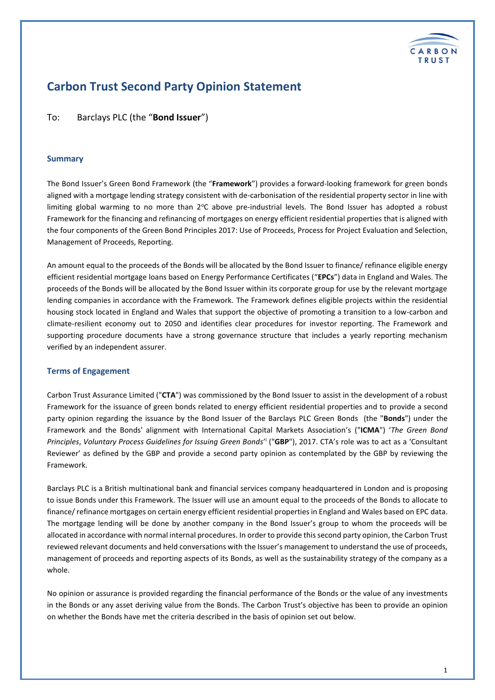

# **Carbon Trust Second Party Opinion Statement**

To: Barclays PLC (the "**Bond Issuer**")

#### **Summary**

The Bond Issuer's Green Bond Framework (the "**Framework**") provides a forward-looking framework for green bonds aligned with a mortgage lending strategy consistent with de-carbonisation of the residential property sector in line with limiting global warming to no more than  $2^{\circ}C$  above pre-industrial levels. The Bond Issuer has adopted a robust Framework for the financing and refinancing of mortgages on energy efficient residential properties that is aligned with the four components of the Green Bond Principles 2017: Use of Proceeds, Process for Project Evaluation and Selection, Management of Proceeds, Reporting.

An amount equal to the proceeds of the Bonds will be allocated by the Bond Issuer to finance/ refinance eligible energy efficient residential mortgage loans based on Energy Performance Certificates ("**EPCs**") data in England and Wales. The proceeds of the Bonds will be allocated by the Bond Issuer within its corporate group for use by the relevant mortgage lending companies in accordance with the Framework. The Framework defines eligible projects within the residential housing stock located in England and Wales that support the objective of promoting a transition to a low-carbon and climate-resilient economy out to 2050 and identifies clear procedures for investor reporting. The Framework and supporting procedure documents have a strong governance structure that includes a yearly reporting mechanism verified by an independent assurer.

#### **Terms of Engagement**

Carbon Trust Assurance Limited ("**CTA**") was commissioned by the Bond Issuer to assist in the development of a robust Framework for the issuance of green bonds related to energy efficient residential properties and to provide a second party opinion regarding the issuance by the Bond Issuer of the Barclays PLC Green Bonds (the "**Bonds**") under the Framework and the Bonds' alignment with International Capital Markets Association's ("**ICMA**") '*The Green Bond*  Principles, Voluntary Process Guidelines for Issuing Green Bonds<sup>ri</sup> ("GBP"), 2017. CTA's role was to act as a 'Consultant Reviewer' as defined by the GBP and provide a second party opinion as contemplated by the GBP by reviewing the Framework.

Barclays PLC is a British multinational bank and financial services company headquartered in London and is proposing to issue Bonds under this Framework. The Issuer will use an amount equal to the proceeds of the Bonds to allocate to finance/ refinance mortgages on certain energy efficient residential properties in England and Wales based on EPC data. The mortgage lending will be done by another company in the Bond Issuer's group to whom the proceeds will be allocated in accordance with normal internal procedures. In order to provide this second party opinion, the Carbon Trust reviewed relevant documents and held conversations with the Issuer's management to understand the use of proceeds, management of proceeds and reporting aspects of its Bonds, as well as the sustainability strategy of the company as a whole.

No opinion or assurance is provided regarding the financial performance of the Bonds or the value of any investments in the Bonds or any asset deriving value from the Bonds. The Carbon Trust's objective has been to provide an opinion on whether the Bonds have met the criteria described in the basis of opinion set out below.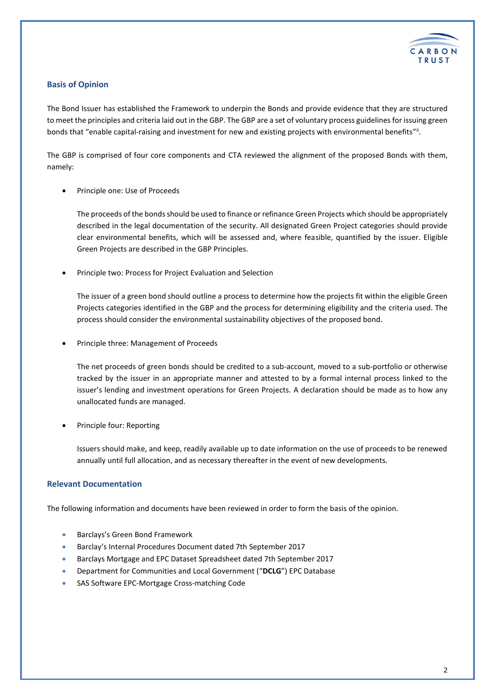

#### **Basis of Opinion**

The Bond Issuer has established the Framework to underpin the Bonds and provide evidence that they are structured to meet the principles and criteria laid out in the GBP. The GBP are a set of voluntary process guidelines for issuing green bonds that "enable capital-raising and investment for new and existing projects with environmental benefits"<sup>i</sup>.

The GBP is comprised of four core components and CTA reviewed the alignment of the proposed Bonds with them, namely:

Principle one: Use of Proceeds

The proceeds of the bondsshould be used to finance or refinance Green Projects which should be appropriately described in the legal documentation of the security. All designated Green Project categories should provide clear environmental benefits, which will be assessed and, where feasible, quantified by the issuer. Eligible Green Projects are described in the GBP Principles.

Principle two: Process for Project Evaluation and Selection

The issuer of a green bond should outline a process to determine how the projects fit within the eligible Green Projects categories identified in the GBP and the process for determining eligibility and the criteria used. The process should consider the environmental sustainability objectives of the proposed bond.

Principle three: Management of Proceeds

The net proceeds of green bonds should be credited to a sub-account, moved to a sub-portfolio or otherwise tracked by the issuer in an appropriate manner and attested to by a formal internal process linked to the issuer's lending and investment operations for Green Projects. A declaration should be made as to how any unallocated funds are managed.

Principle four: Reporting

Issuers should make, and keep, readily available up to date information on the use of proceeds to be renewed annually until full allocation, and as necessary thereafter in the event of new developments.

#### **Relevant Documentation**

The following information and documents have been reviewed in order to form the basis of the opinion.

- Barclays's Green Bond Framework
- Barclay's Internal Procedures Document dated 7th September 2017
- Barclays Mortgage and EPC Dataset Spreadsheet dated 7th September 2017
- Department for Communities and Local Government ("**DCLG**") EPC Database
- SAS Software EPC-Mortgage Cross-matching Code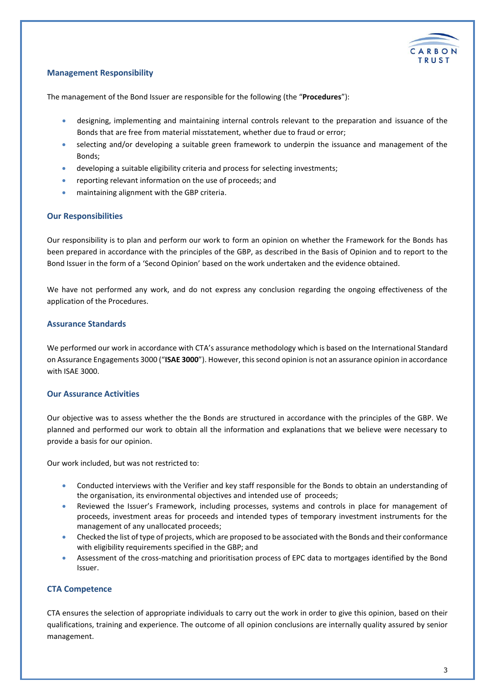

# **Management Responsibility**

The management of the Bond Issuer are responsible for the following (the "**Procedures**"):

- designing, implementing and maintaining internal controls relevant to the preparation and issuance of the Bonds that are free from material misstatement, whether due to fraud or error;
- selecting and/or developing a suitable green framework to underpin the issuance and management of the Bonds;
- developing a suitable eligibility criteria and process for selecting investments;
- reporting relevant information on the use of proceeds; and
- maintaining alignment with the GBP criteria.

## **Our Responsibilities**

Our responsibility is to plan and perform our work to form an opinion on whether the Framework for the Bonds has been prepared in accordance with the principles of the GBP, as described in the Basis of Opinion and to report to the Bond Issuer in the form of a 'Second Opinion' based on the work undertaken and the evidence obtained.

We have not performed any work, and do not express any conclusion regarding the ongoing effectiveness of the application of the Procedures.

#### **Assurance Standards**

We performed our work in accordance with CTA's assurance methodology which is based on the International Standard on Assurance Engagements 3000 ("**ISAE 3000**"). However, this second opinion is not an assurance opinion in accordance with ISAE 3000.

## **Our Assurance Activities**

Our objective was to assess whether the the Bonds are structured in accordance with the principles of the GBP. We planned and performed our work to obtain all the information and explanations that we believe were necessary to provide a basis for our opinion.

Our work included, but was not restricted to:

- Conducted interviews with the Verifier and key staff responsible for the Bonds to obtain an understanding of the organisation, its environmental objectives and intended use of proceeds;
- Reviewed the Issuer's Framework, including processes, systems and controls in place for management of proceeds, investment areas for proceeds and intended types of temporary investment instruments for the management of any unallocated proceeds;
- Checked the list of type of projects, which are proposed to be associated with the Bonds and their conformance with eligibility requirements specified in the GBP; and
- Assessment of the cross-matching and prioritisation process of EPC data to mortgages identified by the Bond Issuer.

## **CTA Competence**

CTA ensures the selection of appropriate individuals to carry out the work in order to give this opinion, based on their qualifications, training and experience. The outcome of all opinion conclusions are internally quality assured by senior management.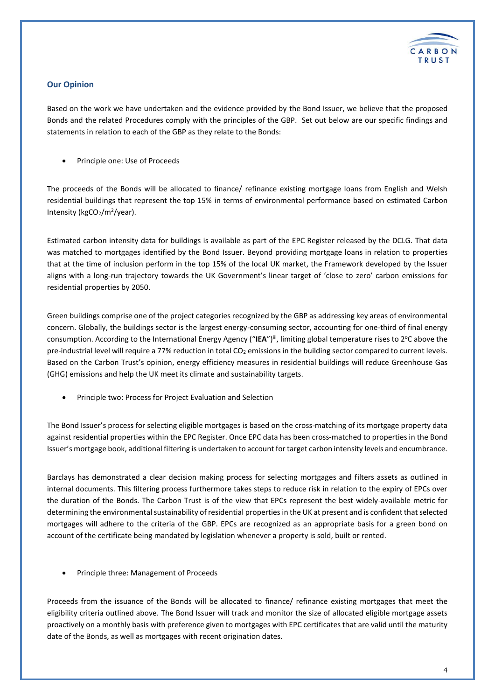

# **Our Opinion**

Based on the work we have undertaken and the evidence provided by the Bond Issuer, we believe that the proposed Bonds and the related Procedures comply with the principles of the GBP. Set out below are our specific findings and statements in relation to each of the GBP as they relate to the Bonds:

Principle one: Use of Proceeds

The proceeds of the Bonds will be allocated to finance/ refinance existing mortgage loans from English and Welsh residential buildings that represent the top 15% in terms of environmental performance based on estimated Carbon Intensity (kgCO<sub>2</sub>/m<sup>2</sup>/year).

Estimated carbon intensity data for buildings is available as part of the EPC Register released by the DCLG. That data was matched to mortgages identified by the Bond Issuer. Beyond providing mortgage loans in relation to properties that at the time of inclusion perform in the top 15% of the local UK market, the Framework developed by the Issuer aligns with a long-run trajectory towards the UK Government's linear target of 'close to zero' carbon emissions for residential properties by 2050.

Green buildings comprise one of the project categories recognized by the GBP as addressing key areas of environmental concern. Globally, the buildings sector is the largest energy-consuming sector, accounting for one-third of final energy consumption. According to the International Energy Agency ("IEA")<sup>iii</sup>, limiting global temperature rises to 2°C above the pre-industrial level will require a 77% reduction in total CO<sub>2</sub> emissions in the building sector compared to current levels. Based on the Carbon Trust's opinion, energy efficiency measures in residential buildings will reduce Greenhouse Gas (GHG) emissions and help the UK meet its climate and sustainability targets.

Principle two: Process for Project Evaluation and Selection

The Bond Issuer's process for selecting eligible mortgages is based on the cross-matching of its mortgage property data against residential properties within the EPC Register. Once EPC data has been cross-matched to properties in the Bond Issuer's mortgage book, additional filtering is undertaken to account for target carbon intensity levels and encumbrance.

Barclays has demonstrated a clear decision making process for selecting mortgages and filters assets as outlined in internal documents. This filtering process furthermore takes steps to reduce risk in relation to the expiry of EPCs over the duration of the Bonds. The Carbon Trust is of the view that EPCs represent the best widely-available metric for determining the environmental sustainability of residential properties in the UK at present and is confident that selected mortgages will adhere to the criteria of the GBP. EPCs are recognized as an appropriate basis for a green bond on account of the certificate being mandated by legislation whenever a property is sold, built or rented.

Principle three: Management of Proceeds

Proceeds from the issuance of the Bonds will be allocated to finance/ refinance existing mortgages that meet the eligibility criteria outlined above. The Bond Issuer will track and monitor the size of allocated eligible mortgage assets proactively on a monthly basis with preference given to mortgages with EPC certificates that are valid until the maturity date of the Bonds, as well as mortgages with recent origination dates.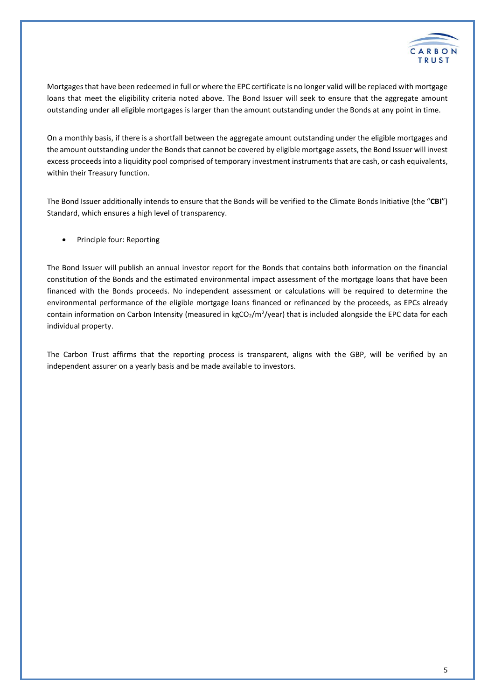

Mortgages that have been redeemed in full or where the EPC certificate is no longer valid will be replaced with mortgage loans that meet the eligibility criteria noted above. The Bond Issuer will seek to ensure that the aggregate amount outstanding under all eligible mortgages is larger than the amount outstanding under the Bonds at any point in time.

On a monthly basis, if there is a shortfall between the aggregate amount outstanding under the eligible mortgages and the amount outstanding under the Bonds that cannot be covered by eligible mortgage assets, the Bond Issuer will invest excess proceeds into a liquidity pool comprised of temporary investment instruments that are cash, or cash equivalents, within their Treasury function.

The Bond Issuer additionally intends to ensure that the Bonds will be verified to the Climate Bonds Initiative (the "**CBI**") Standard, which ensures a high level of transparency.

Principle four: Reporting

The Bond Issuer will publish an annual investor report for the Bonds that contains both information on the financial constitution of the Bonds and the estimated environmental impact assessment of the mortgage loans that have been financed with the Bonds proceeds. No independent assessment or calculations will be required to determine the environmental performance of the eligible mortgage loans financed or refinanced by the proceeds, as EPCs already contain information on Carbon Intensity (measured in kgCO2/m<sup>2</sup>/year) that is included alongside the EPC data for each individual property.

The Carbon Trust affirms that the reporting process is transparent, aligns with the GBP, will be verified by an independent assurer on a yearly basis and be made available to investors.